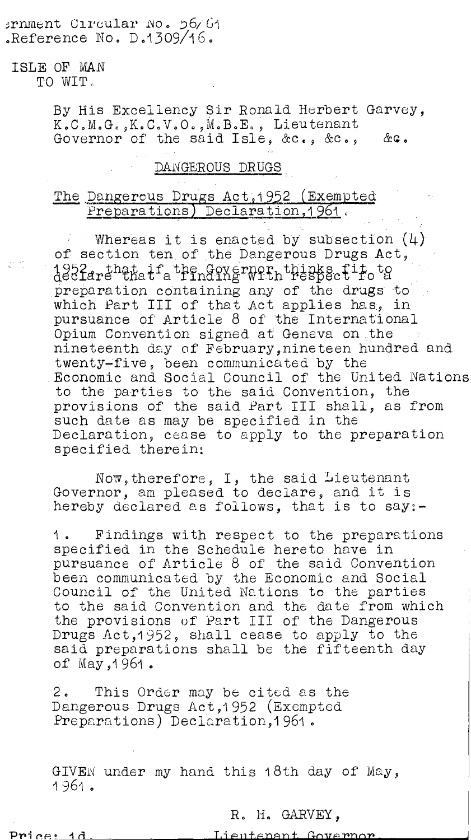#### ernment Circular No. 56/61 Reference No.  $D.1309/16$ .

# ISLE OF MAN

TO WIT,

By His Excellency Sir Ronald Herbert Garvey, K.C.M.G.,K.C.V.O.,M.B.E., Lieutenant Governor of the said Isle,  $\&c_-, \&c_-,$  &c.

## DANGEROUS DRUGS

### The Dangerous Drugs Act, 1952 (Exempted Preparations) Declaration, 1961.

Whereas it is enacted by subsection  $(4)$ of section ten of the Dangerous Drugs Act, 1952 that if the Governor thinks fit to the preparation containing any of the drugs to which Part III of that Act applies has, in pursuance of Article 8 of the International Opium Convention signed at Geneva on the nineteenth day of February,nineteen hundred and twenty-five, been communicated by the . Economic and Social Council of the United Nations to the parties to the said Convention, the provisions of the said Part III shall, as from such date as may be specified in the Declaration, cease to apply to the preparation specified therein:

Now,therefore, I, the said Lieutenant Governor, am pleased to declare, and it is hereby declared as follows, that is to say:-

1. Findings with respect to the preparations specified in the Schedule hereto have in pursuance of Article 8 of the said Convention been communicated by the Economic and Social Council of the United Nations to the parties to the said Convention and the date from which the provisions of Part III of the Dangerous Drugs Act,1952, shall cease to apply to the said preparations shall be the fifteenth day of May, 1961.

2. This Order may be cited as the Dangerous Drugs Act,1952 (Exempted Preparations) Declaration, 1961.

GIVEN under my hand this 18th day of May, 1961.

R. H. GARVEY,

Price:

Lieutenant Governor